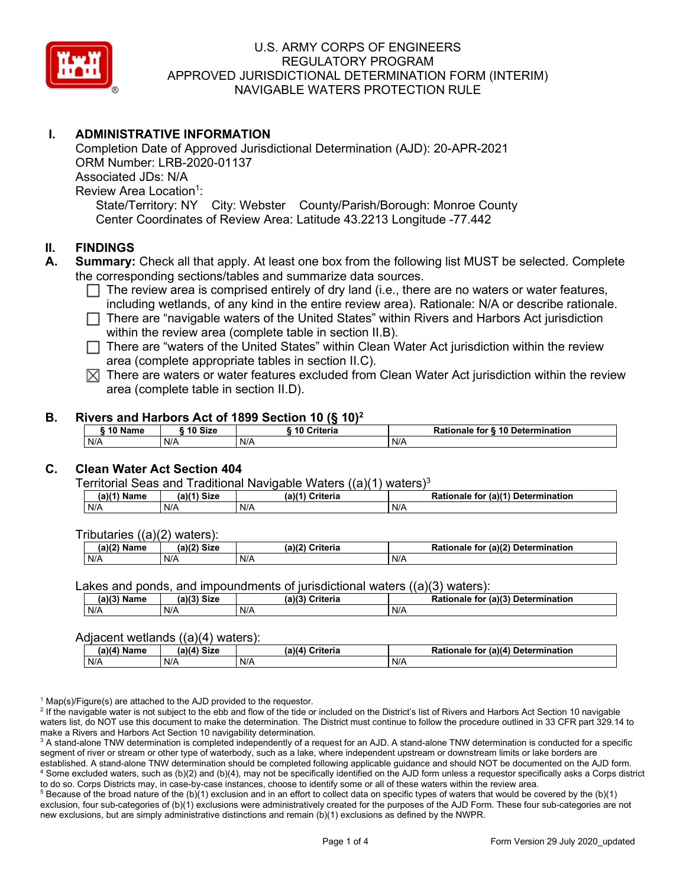

# **I. ADMINISTRATIVE INFORMATION**

Completion Date of Approved Jurisdictional Determination (AJD): 20-APR-2021 ORM Number: LRB-2020-01137 Associated JDs: N/A Review Area Location<sup>1</sup>: State/Territory: NY City: Webster County/Parish/Borough: Monroe County Center Coordinates of Review Area: Latitude 43.2213 Longitude -77.442

#### **II. FINDINGS**

- **A. Summary:** Check all that apply. At least one box from the following list MUST be selected. Complete the corresponding sections/tables and summarize data sources.
	- $\Box$  The review area is comprised entirely of dry land (i.e., there are no waters or water features, including wetlands, of any kind in the entire review area). Rationale: N/A or describe rationale.
	- There are "navigable waters of the United States" within Rivers and Harbors Act jurisdiction within the review area (complete table in section II.B).
	- $\Box$  There are "waters of the United States" within Clean Water Act jurisdiction within the review area (complete appropriate tables in section II.C).
	- $\boxtimes$  There are waters or water features excluded from Clean Water Act jurisdiction within the review area (complete table in section II.D).

#### **B. Rivers and Harbors Act of 1899 Section 10 (§ 10)2**

| <b><i>AA</i> AI</b><br>Name | 10 Size | <b>Criteria</b> | ↑ for <b>§ 10 Determination</b><br>Rationale |  |  |  |  |  |
|-----------------------------|---------|-----------------|----------------------------------------------|--|--|--|--|--|
| N/A                         | N/A     | N/A             | N/A                                          |  |  |  |  |  |

## **C. Clean Water Act Section 404**

Territorial Seas and Traditional Navigable Waters  $((a)(1)$  waters)<sup>3</sup>

| Name<br>a) | <b>Size</b><br>01/41 | $(a)$ $(4)$<br>Criteria | $ur$ (a) $(4)$<br><b>Determination</b><br>Rationale<br>tor |
|------------|----------------------|-------------------------|------------------------------------------------------------|
| N/A        | N/A                  | N/A                     | N/A                                                        |

Tributaries ((a)(2) waters):

| (2)<br>Name | $\sim$ Circ $\sim$<br>$\sim$ $\sim$<br>JIZU<br>υ. | ेriteria<br>$\overline{\phantom{a}}$<br>ເaນເ | (a)(2)<br><b>Determination</b><br>Pationale .<br>tor |
|-------------|---------------------------------------------------|----------------------------------------------|------------------------------------------------------|
| N/A         | N/A                                               | N/A                                          | N/A                                                  |

Lakes and ponds, and impoundments of jurisdictional waters ((a)(3) waters):

| $(a)(3)$ $^{\prime\prime}$ | $(a)(3)$ Size | (a)(?')  | for (a)(3) Determination |  |  |
|----------------------------|---------------|----------|--------------------------|--|--|
| Name                       |               | Criteria | Rationale                |  |  |
| N/A                        | N/A           | N/A      | N/A                      |  |  |

#### Adjacent wetlands ((a)(4) waters):

| .<br>.      |             |                    |                                              |  |  |
|-------------|-------------|--------------------|----------------------------------------------|--|--|
| (a)(4) Name | (a)(4) Size | (a)(4)<br>Criteria | (a)(4) Determination<br><b>Rationale for</b> |  |  |
| N/A         | N/A         | N/A                | N/A                                          |  |  |

 $1$  Map(s)/Figure(s) are attached to the AJD provided to the requestor.

<sup>2</sup> If the navigable water is not subject to the ebb and flow of the tide or included on the District's list of Rivers and Harbors Act Section 10 navigable waters list, do NOT use this document to make the determination. The District must continue to follow the procedure outlined in 33 CFR part 329.14 to make a Rivers and Harbors Act Section 10 navigability determination.

<sup>3</sup> A stand-alone TNW determination is completed independently of a request for an AJD. A stand-alone TNW determination is conducted for a specific segment of river or stream or other type of waterbody, such as a lake, where independent upstream or downstream limits or lake borders are established. A stand-alone TNW determination should be completed following applicable guidance and should NOT be documented on the AJD form. <sup>4</sup> Some excluded waters, such as (b)(2) and (b)(4), may not be specifically identified on the AJD form unless a requestor specifically asks a Corps district to do so. Corps Districts may, in case-by-case instances, choose to identify some or all of these waters within the review area.

 $5$  Because of the broad nature of the (b)(1) exclusion and in an effort to collect data on specific types of waters that would be covered by the (b)(1) exclusion, four sub-categories of (b)(1) exclusions were administratively created for the purposes of the AJD Form. These four sub-categories are not new exclusions, but are simply administrative distinctions and remain (b)(1) exclusions as defined by the NWPR.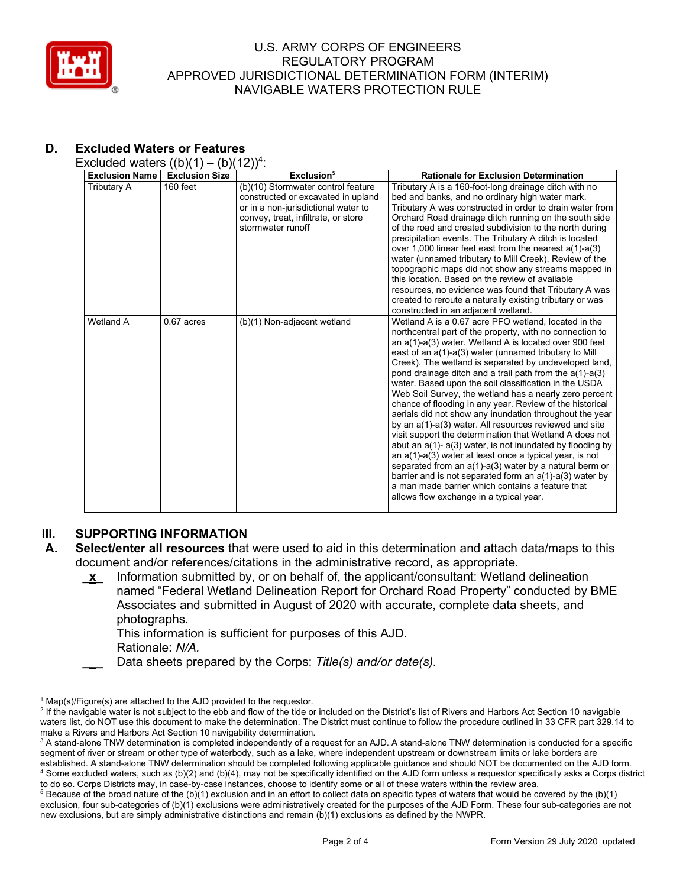

| <b>Exclusion Name</b> | <b>Exclusion Size</b> | Exclusion <sup>5</sup>                                                                                                                                                      | <b>Rationale for Exclusion Determination</b>                                                                                                                                                                                                                                                                                                                                                                                                                                                                                                                                                                                                                                                                                                                                                                                                                                                                                                                                                                                                                                        |
|-----------------------|-----------------------|-----------------------------------------------------------------------------------------------------------------------------------------------------------------------------|-------------------------------------------------------------------------------------------------------------------------------------------------------------------------------------------------------------------------------------------------------------------------------------------------------------------------------------------------------------------------------------------------------------------------------------------------------------------------------------------------------------------------------------------------------------------------------------------------------------------------------------------------------------------------------------------------------------------------------------------------------------------------------------------------------------------------------------------------------------------------------------------------------------------------------------------------------------------------------------------------------------------------------------------------------------------------------------|
| Tributary A           | 160 feet              | (b)(10) Stormwater control feature<br>constructed or excavated in upland<br>or in a non-jurisdictional water to<br>convey, treat, infiltrate, or store<br>stormwater runoff | Tributary A is a 160-foot-long drainage ditch with no<br>bed and banks, and no ordinary high water mark.<br>Tributary A was constructed in order to drain water from<br>Orchard Road drainage ditch running on the south side<br>of the road and created subdivision to the north during<br>precipitation events. The Tributary A ditch is located<br>over 1,000 linear feet east from the nearest $a(1)-a(3)$<br>water (unnamed tributary to Mill Creek). Review of the<br>topographic maps did not show any streams mapped in<br>this location. Based on the review of available<br>resources, no evidence was found that Tributary A was<br>created to reroute a naturally existing tributary or was<br>constructed in an adjacent wetland.                                                                                                                                                                                                                                                                                                                                      |
| Wetland A             | $0.67$ acres          | (b)(1) Non-adjacent wetland                                                                                                                                                 | Wetland A is a 0.67 acre PFO wetland, located in the<br>northcentral part of the property, with no connection to<br>an a(1)-a(3) water. Wetland A is located over 900 feet<br>east of an a(1)-a(3) water (unnamed tributary to Mill<br>Creek). The wetland is separated by undeveloped land,<br>pond drainage ditch and a trail path from the a(1)-a(3)<br>water. Based upon the soil classification in the USDA<br>Web Soil Survey, the wetland has a nearly zero percent<br>chance of flooding in any year. Review of the historical<br>aerials did not show any inundation throughout the year<br>by an a(1)-a(3) water. All resources reviewed and site<br>visit support the determination that Wetland A does not<br>abut an $a(1)$ - $a(3)$ water, is not inundated by flooding by<br>an a(1)-a(3) water at least once a typical year, is not<br>separated from an $a(1)$ - $a(3)$ water by a natural berm or<br>barrier and is not separated form an $a(1)$ - $a(3)$ water by<br>a man made barrier which contains a feature that<br>allows flow exchange in a typical year. |

# **D. Excluded Waters or Features**

Excluded waters  $((b)(1) - (b)(12))^4$ :

# **III.** SUPPORTING INFORMATION<br>**A.** Select/enter all resources that

- **A. Select/enter all resources** that were used to aid in this determination and attach data/maps to this document and/or references/citations in the administrative record, as appropriate.
	- **\_x\_** Information submitted by, or on behalf of, the applicant/consultant: Wetland delineation named "Federal Wetland Delineation Report for Orchard Road Property" conducted by BME Associates and submitted in August of 2020 with accurate, complete data sheets, and photographs.

This information is sufficient for purposes of this AJD.

- Rationale: *N/A.*
- **\_\_\_** Data sheets prepared by the Corps: *Title(s) and/or date(s).*

 $1$  Map(s)/Figure(s) are attached to the AJD provided to the requestor.

<sup>&</sup>lt;sup>2</sup> If the navigable water is not subject to the ebb and flow of the tide or included on the District's list of Rivers and Harbors Act Section 10 navigable waters list, do NOT use this document to make the determination. The District must continue to follow the procedure outlined in 33 CFR part 329.14 to make a Rivers and Harbors Act Section 10 navigability determination.

<sup>&</sup>lt;sup>3</sup> A stand-alone TNW determination is completed independently of a request for an AJD. A stand-alone TNW determination is conducted for a specific segment of river or stream or other type of waterbody, such as a lake, where independent upstream or downstream limits or lake borders are established. A stand-alone TNW determination should be completed following applicable guidance and should NOT be documented on the AJD form. <sup>4</sup> Some excluded waters, such as (b)(2) and (b)(4), may not be specifically identified on the AJD form unless a requestor specifically asks a Corps district to do so. Corps Districts may, in case-by-case instances, choose to identify some or all of these waters within the review area.

 $5$  Because of the broad nature of the (b)(1) exclusion and in an effort to collect data on specific types of waters that would be covered by the (b)(1) exclusion, four sub-categories of (b)(1) exclusions were administratively created for the purposes of the AJD Form. These four sub-categories are not new exclusions, but are simply administrative distinctions and remain (b)(1) exclusions as defined by the NWPR.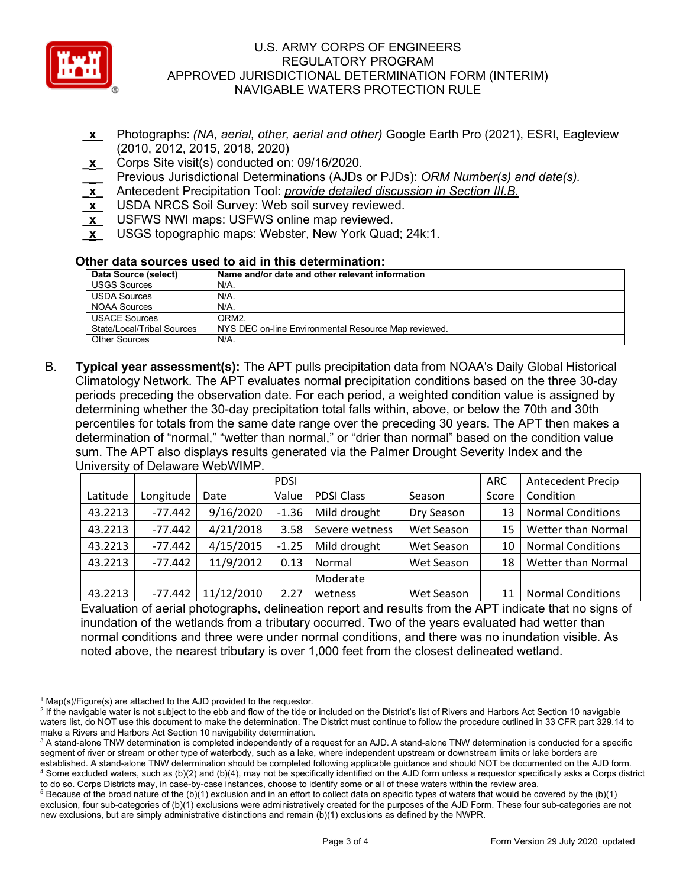

- **\_x\_** Photographs: *(NA, aerial, other, aerial and other)* Google Earth Pro (2021), ESRI, Eagleview (2010, 2012, 2015, 2018, 2020)
- **\_x\_** Corps Site visit(s) conducted on: 09/16/2020*.*
- **\_\_\_** Previous Jurisdictional Determinations (AJDs or PJDs): *ORM Number(s) and date(s).*
- **\_x\_** Antecedent Precipitation Tool: *provide detailed discussion in Section III.B.*
- **\_x\_** USDA NRCS Soil Survey: Web soil survey reviewed.
- **\_x\_** USFWS NWI maps: USFWS online map reviewed.
- **\_x\_** USGS topographic maps: Webster, New York Quad; 24k:1.

#### **Other data sources used to aid in this determination:**

| Data Source (select)       | Name and/or date and other relevant information      |
|----------------------------|------------------------------------------------------|
| <b>USGS Sources</b>        | $N/A$ .                                              |
| <b>USDA Sources</b>        | N/A.                                                 |
| NOAA Sources               | $N/A$ .                                              |
| <b>USACE Sources</b>       | ORM2.                                                |
| State/Local/Tribal Sources | NYS DEC on-line Environmental Resource Map reviewed. |
| Other Sources              | N/A.                                                 |

B. **Typical year assessment(s):** The APT pulls precipitation data from NOAA's Daily Global Historical Climatology Network. The APT evaluates normal precipitation conditions based on the three 30-day periods preceding the observation date. For each period, a weighted condition value is assigned by determining whether the 30-day precipitation total falls within, above, or below the 70th and 30th percentiles for totals from the same date range over the preceding 30 years. The APT then makes a determination of "normal," "wetter than normal," or "drier than normal" based on the condition value sum. The APT also displays results generated via the Palmer Drought Severity Index and the University of Delaware WebWIMP.

|          |           |            | <b>PDSI</b> |                   |            | <b>ARC</b> | <b>Antecedent Precip</b> |
|----------|-----------|------------|-------------|-------------------|------------|------------|--------------------------|
| Latitude | Longitude | Date       | Value       | <b>PDSI Class</b> | Season     | Score      | Condition                |
| 43.2213  | $-77.442$ | 9/16/2020  | $-1.36$     | Mild drought      | Dry Season | 13         | <b>Normal Conditions</b> |
| 43.2213  | $-77.442$ | 4/21/2018  | 3.58        | Severe wetness    | Wet Season | 15         | Wetter than Normal       |
| 43.2213  | $-77.442$ | 4/15/2015  | $-1.25$     | Mild drought      | Wet Season | 10         | <b>Normal Conditions</b> |
| 43.2213  | $-77.442$ | 11/9/2012  | 0.13        | Normal            | Wet Season | 18         | Wetter than Normal       |
|          |           |            |             | Moderate          |            |            |                          |
| 43.2213  | $-77.442$ | 11/12/2010 | 2.27        | wetness           | Wet Season |            | <b>Normal Conditions</b> |

Evaluation of aerial photographs, delineation report and results from the APT indicate that no signs of inundation of the wetlands from a tributary occurred. Two of the years evaluated had wetter than normal conditions and three were under normal conditions, and there was no inundation visible. As noted above, the nearest tributary is over 1,000 feet from the closest delineated wetland.

 $1$  Map(s)/Figure(s) are attached to the AJD provided to the requestor.

<sup>&</sup>lt;sup>2</sup> If the navigable water is not subject to the ebb and flow of the tide or included on the District's list of Rivers and Harbors Act Section 10 navigable waters list, do NOT use this document to make the determination. The District must continue to follow the procedure outlined in 33 CFR part 329.14 to make a Rivers and Harbors Act Section 10 navigability determination.

<sup>&</sup>lt;sup>3</sup> A stand-alone TNW determination is completed independently of a request for an AJD. A stand-alone TNW determination is conducted for a specific segment of river or stream or other type of waterbody, such as a lake, where independent upstream or downstream limits or lake borders are established. A stand-alone TNW determination should be completed following applicable guidance and should NOT be documented on the AJD form. <sup>4</sup> Some excluded waters, such as (b)(2) and (b)(4), may not be specifically identified on the AJD form unless a requestor specifically asks a Corps district to do so. Corps Districts may, in case-by-case instances, choose to identify some or all of these waters within the review area.

 $5$  Because of the broad nature of the (b)(1) exclusion and in an effort to collect data on specific types of waters that would be covered by the (b)(1) exclusion, four sub-categories of (b)(1) exclusions were administratively created for the purposes of the AJD Form. These four sub-categories are not new exclusions, but are simply administrative distinctions and remain (b)(1) exclusions as defined by the NWPR.